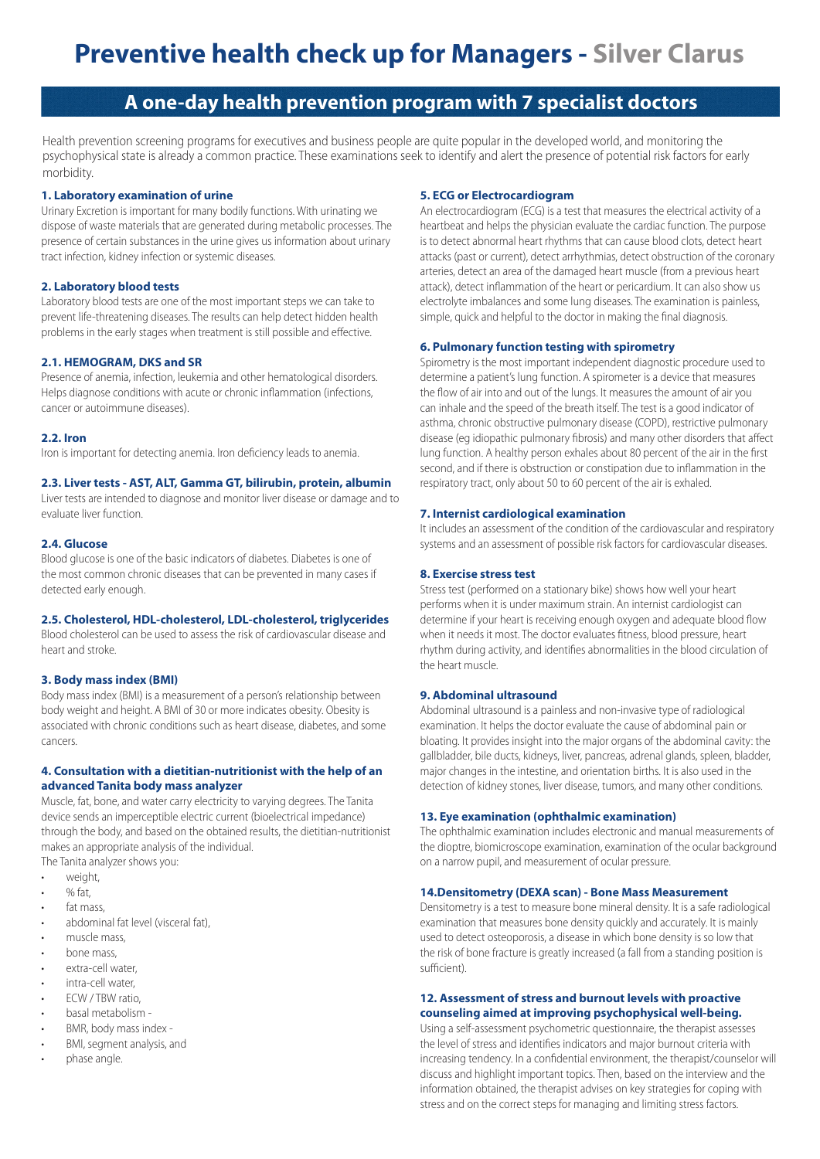# **Preventive health check up for Managers - Silver Clarus**

# **A one-day health prevention program with 7 specialist doctors**

Health prevention screening programs for executives and business people are quite popular in the developed world, and monitoring the psychophysical state is already a common practice. These examinations seek to identify and alert the presence of potential risk factors for early morbidity.

#### **1. Laboratory examination of urine**

Urinary Excretion is important for many bodily functions. With urinating we dispose of waste materials that are generated during metabolic processes. The presence of certain substances in the urine gives us information about urinary tract infection, kidney infection or systemic diseases.

### **2. Laboratory blood tests**

Laboratory blood tests are one of the most important steps we can take to prevent life-threatening diseases. The results can help detect hidden health problems in the early stages when treatment is still possible and effective.

## **2.1. HEMOGRAM, DKS and SR**

Presence of anemia, infection, leukemia and other hematological disorders. Helps diagnose conditions with acute or chronic inflammation (infections, cancer or autoimmune diseases).

#### **2.2. Iron**

Iron is important for detecting anemia. Iron deficiency leads to anemia.

#### **2.3. Liver tests - AST, ALT, Gamma GT, bilirubin, protein, albumin**

Liver tests are intended to diagnose and monitor liver disease or damage and to evaluate liver function.

#### **2.4. Glucose**

Blood glucose is one of the basic indicators of diabetes. Diabetes is one of the most common chronic diseases that can be prevented in many cases if detected early enough.

#### **2.5. Cholesterol, HDL-cholesterol, LDL-cholesterol, triglycerides**

Blood cholesterol can be used to assess the risk of cardiovascular disease and heart and stroke.

#### **3. Body mass index (BMI)**

Body mass index (BMI) is a measurement of a person's relationship between body weight and height. A BMI of 30 or more indicates obesity. Obesity is associated with chronic conditions such as heart disease, diabetes, and some cancers.

#### **4. Consultation with a dietitian-nutritionist with the help of an advanced Tanita body mass analyzer**

Muscle, fat, bone, and water carry electricity to varying degrees. The Tanita device sends an imperceptible electric current (bioelectrical impedance) through the body, and based on the obtained results, the dietitian-nutritionist makes an appropriate analysis of the individual.

The Tanita analyzer shows you:

- weight,
- % fat,
- fat mass
- abdominal fat level (visceral fat),
- muscle mass,
- bone mass,
- extra-cell water.
- intra-cell water,
- ECW / TBW ratio,
- basal metabolism -
- BMR, body mass index • BMI, segment analysis, and
- phase angle.

### **5. ECG or Electrocardiogram**

An electrocardiogram (ECG) is a test that measures the electrical activity of a heartbeat and helps the physician evaluate the cardiac function. The purpose is to detect abnormal heart rhythms that can cause blood clots, detect heart attacks (past or current), detect arrhythmias, detect obstruction of the coronary arteries, detect an area of the damaged heart muscle (from a previous heart attack), detect inflammation of the heart or pericardium. It can also show us electrolyte imbalances and some lung diseases. The examination is painless, simple, quick and helpful to the doctor in making the final diagnosis.

#### **6. Pulmonary function testing with spirometry**

Spirometry is the most important independent diagnostic procedure used to determine a patient's lung function. A spirometer is a device that measures the flow of air into and out of the lungs. It measures the amount of air you can inhale and the speed of the breath itself. The test is a good indicator of asthma, chronic obstructive pulmonary disease (COPD), restrictive pulmonary disease (eg idiopathic pulmonary fibrosis) and many other disorders that affect lung function. A healthy person exhales about 80 percent of the air in the first second, and if there is obstruction or constipation due to inflammation in the respiratory tract, only about 50 to 60 percent of the air is exhaled.

#### **7. Internist cardiological examination**

It includes an assessment of the condition of the cardiovascular and respiratory systems and an assessment of possible risk factors for cardiovascular diseases.

#### **8. Exercise stress test**

Stress test (performed on a stationary bike) shows how well your heart performs when it is under maximum strain. An internist cardiologist can determine if your heart is receiving enough oxygen and adequate blood flow when it needs it most. The doctor evaluates fitness, blood pressure, heart rhythm during activity, and identifies abnormalities in the blood circulation of the heart muscle.

#### **9. Abdominal ultrasound**

Abdominal ultrasound is a painless and non-invasive type of radiological examination. It helps the doctor evaluate the cause of abdominal pain or bloating. It provides insight into the major organs of the abdominal cavity: the gallbladder, bile ducts, kidneys, liver, pancreas, adrenal glands, spleen, bladder, major changes in the intestine, and orientation births. It is also used in the detection of kidney stones, liver disease, tumors, and many other conditions.

#### **13. Eye examination (ophthalmic examination)**

The ophthalmic examination includes electronic and manual measurements of the dioptre, biomicroscope examination, examination of the ocular background on a narrow pupil, and measurement of ocular pressure.

#### **14.Densitometry (DEXA scan) - Bone Mass Measurement**

Densitometry is a test to measure bone mineral density. It is a safe radiological examination that measures bone density quickly and accurately. It is mainly used to detect osteoporosis, a disease in which bone density is so low that the risk of bone fracture is greatly increased (a fall from a standing position is sufficient).

#### **12. Assessment of stress and burnout levels with proactive counseling aimed at improving psychophysical well-being.**

Using a self-assessment psychometric questionnaire, the therapist assesses the level of stress and identifies indicators and major burnout criteria with increasing tendency. In a confidential environment, the therapist/counselor will discuss and highlight important topics. Then, based on the interview and the information obtained, the therapist advises on key strategies for coping with stress and on the correct steps for managing and limiting stress factors.